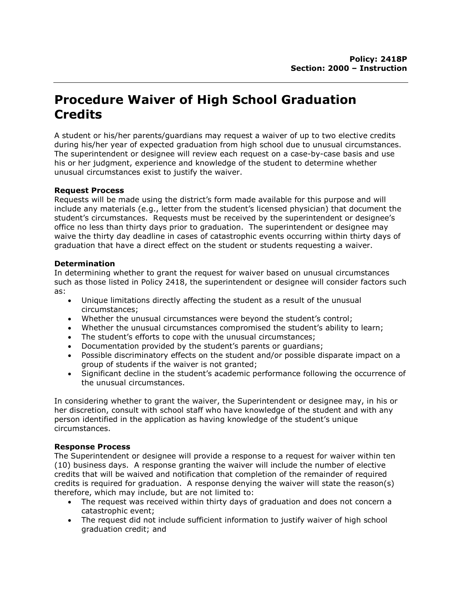## Procedure Waiver of High School Graduation **Credits**

A student or his/her parents/guardians may request a waiver of up to two elective credits during his/her year of expected graduation from high school due to unusual circumstances. The superintendent or designee will review each request on a case-by-case basis and use his or her judgment, experience and knowledge of the student to determine whether unusual circumstances exist to justify the waiver.

## Request Process

Requests will be made using the district's form made available for this purpose and will include any materials (e.g., letter from the student's licensed physician) that document the student's circumstances. Requests must be received by the superintendent or designee's office no less than thirty days prior to graduation. The superintendent or designee may waive the thirty day deadline in cases of catastrophic events occurring within thirty days of graduation that have a direct effect on the student or students requesting a waiver.

## Determination

In determining whether to grant the request for waiver based on unusual circumstances such as those listed in Policy 2418, the superintendent or designee will consider factors such as:

- Unique limitations directly affecting the student as a result of the unusual circumstances;
- Whether the unusual circumstances were beyond the student's control;
- Whether the unusual circumstances compromised the student's ability to learn;
- The student's efforts to cope with the unusual circumstances;
- Documentation provided by the student's parents or guardians;
- Possible discriminatory effects on the student and/or possible disparate impact on a group of students if the waiver is not granted;
- Significant decline in the student's academic performance following the occurrence of the unusual circumstances.

In considering whether to grant the waiver, the Superintendent or designee may, in his or her discretion, consult with school staff who have knowledge of the student and with any person identified in the application as having knowledge of the student's unique circumstances.

## Response Process

The Superintendent or designee will provide a response to a request for waiver within ten (10) business days. A response granting the waiver will include the number of elective credits that will be waived and notification that completion of the remainder of required credits is required for graduation. A response denying the waiver will state the reason(s) therefore, which may include, but are not limited to:

- The request was received within thirty days of graduation and does not concern a catastrophic event;
- The request did not include sufficient information to justify waiver of high school graduation credit; and